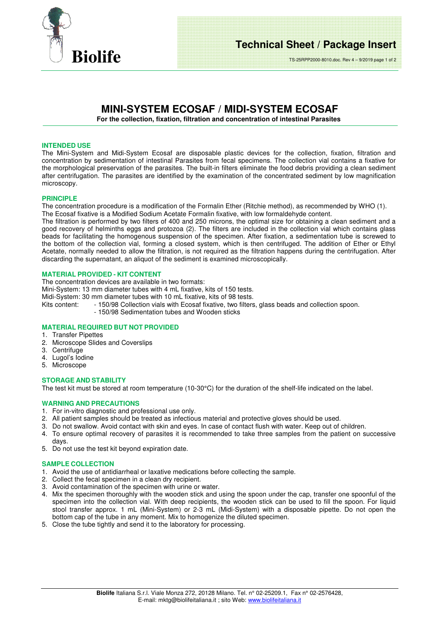

# **MINI-SYSTEM ECOSAF / MIDI-SYSTEM ECOSAF**

**For the collection, fixation, filtration and concentration of intestinal Parasites** 

### **INTENDED USE**

The Mini-System and Midi-System Ecosaf are disposable plastic devices for the collection, fixation, filtration and concentration by sedimentation of intestinal Parasites from fecal specimens. The collection vial contains a fixative for the morphological preservation of the parasites. The built-in filters eliminate the food debris providing a clean sediment after centrifugation. The parasites are identified by the examination of the concentrated sediment by low magnification microscopy.

### **PRINCIPLE**

The concentration procedure is a modification of the Formalin Ether (Ritchie method), as recommended by WHO (1). The Ecosaf fixative is a Modified Sodium Acetate Formalin fixative, with low formaldehyde content.

The filtration is performed by two filters of 400 and 250 microns, the optimal size for obtaining a clean sediment and a good recovery of helminths eggs and protozoa (2). The filters are included in the collection vial which contains glass beads for facilitating the homogenous suspension of the specimen. After fixation, a sedimentation tube is screwed to the bottom of the collection vial, forming a closed system, which is then centrifuged. The addition of Ether or Ethyl Acetate, normally needed to allow the filtration, is not required as the filtration happens during the centrifugation. After discarding the supernatant, an aliquot of the sediment is examined microscopically.

## **MATERIAL PROVIDED - KIT CONTENT**

The concentration devices are available in two formats:

Mini-System: 13 mm diameter tubes with 4 mL fixative, kits of 150 tests.

Midi-System: 30 mm diameter tubes with 10 mL fixative, kits of 98 tests.<br>Kits content: - 150/98 Collection vials with Ecosaf fixative, two filters

- 150/98 Collection vials with Ecosaf fixative, two filters, glass beads and collection spoon.
	- 150/98 Sedimentation tubes and Wooden sticks

## **MATERIAL REQUIRED BUT NOT PROVIDED**

- 1. Transfer Pipettes
- 2. Microscope Slides and Coverslips
- 3. Centrifuge
- 4. Lugol's Iodine
- 5. Microscope

### **STORAGE AND STABILITY**

The test kit must be stored at room temperature (10-30°C) for the duration of the shelf-life indicated on the label.

### **WARNING AND PRECAUTIONS**

- 1. For in-vitro diagnostic and professional use only.
- 2. All patient samples should be treated as infectious material and protective gloves should be used.
- 3. Do not swallow. Avoid contact with skin and eyes. In case of contact flush with water. Keep out of children.
- 4. To ensure optimal recovery of parasites it is recommended to take three samples from the patient on successive days.
- 5. Do not use the test kit beyond expiration date.

### **SAMPLE COLLECTION**

- 1. Avoid the use of antidiarrheal or laxative medications before collecting the sample.
- 2. Collect the fecal specimen in a clean dry recipient.
- 3. Avoid contamination of the specimen with urine or water.
- 4. Mix the specimen thoroughly with the wooden stick and using the spoon under the cap, transfer one spoonful of the specimen into the collection vial. With deep recipients, the wooden stick can be used to fill the spoon. For liquid stool transfer approx. 1 mL (Mini-System) or 2-3 mL (Midi-System) with a disposable pipette. Do not open the bottom cap of the tube in any moment. Mix to homogenize the diluted specimen.
- 5. Close the tube tightly and send it to the laboratory for processing.